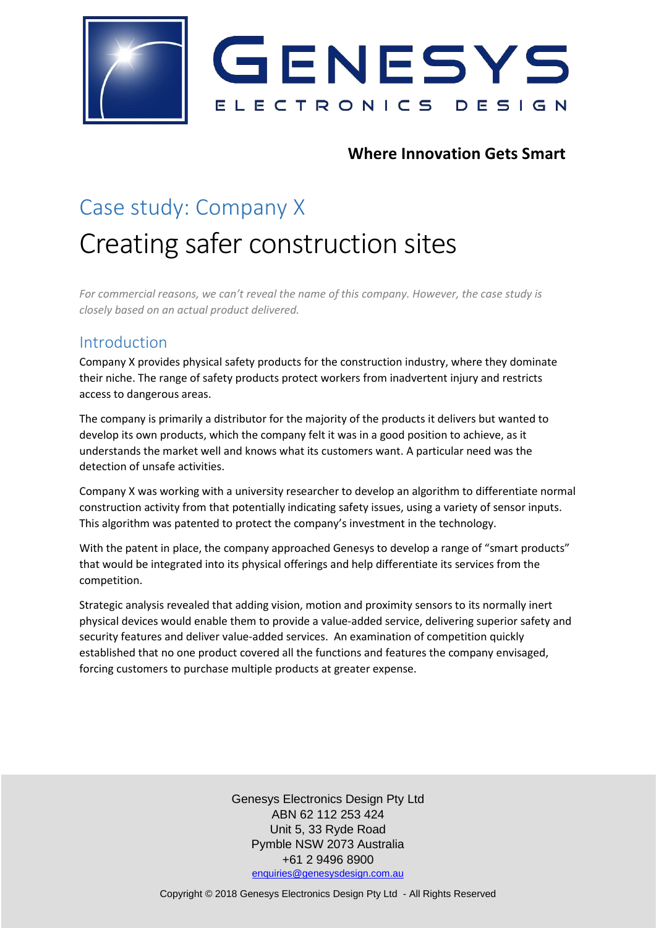

## **Where Innovation Gets Smart**

## Case study: Company X Creating safer construction sites

*For commercial reasons, we can't reveal the name of this company. However, the case study is closely based on an actual product delivered.*

## Introduction

Company X provides physical safety products for the construction industry, where they dominate their niche. The range of safety products protect workers from inadvertent injury and restricts access to dangerous areas.

The company is primarily a distributor for the majority of the products it delivers but wanted to develop its own products, which the company felt it was in a good position to achieve, as it understands the market well and knows what its customers want. A particular need was the detection of unsafe activities.

Company X was working with a university researcher to develop an algorithm to differentiate normal construction activity from that potentially indicating safety issues, using a variety of sensor inputs. This algorithm was patented to protect the company's investment in the technology.

With the patent in place, the company approached Genesys to develop a range of "smart products" that would be integrated into its physical offerings and help differentiate its services from the competition.

Strategic analysis revealed that adding vision, motion and proximity sensors to its normally inert physical devices would enable them to provide a value-added service, delivering superior safety and security features and deliver value-added services. An examination of competition quickly established that no one product covered all the functions and features the company envisaged, forcing customers to purchase multiple products at greater expense.

> Genesys Electronics Design Pty Ltd ABN 62 112 253 424 Unit 5, 33 Ryde Road Pymble NSW 2073 Australia +61 2 9496 8900 [enquiries@genesysdesign.com.au](mailto:enquiries@genesysdesign.com.au)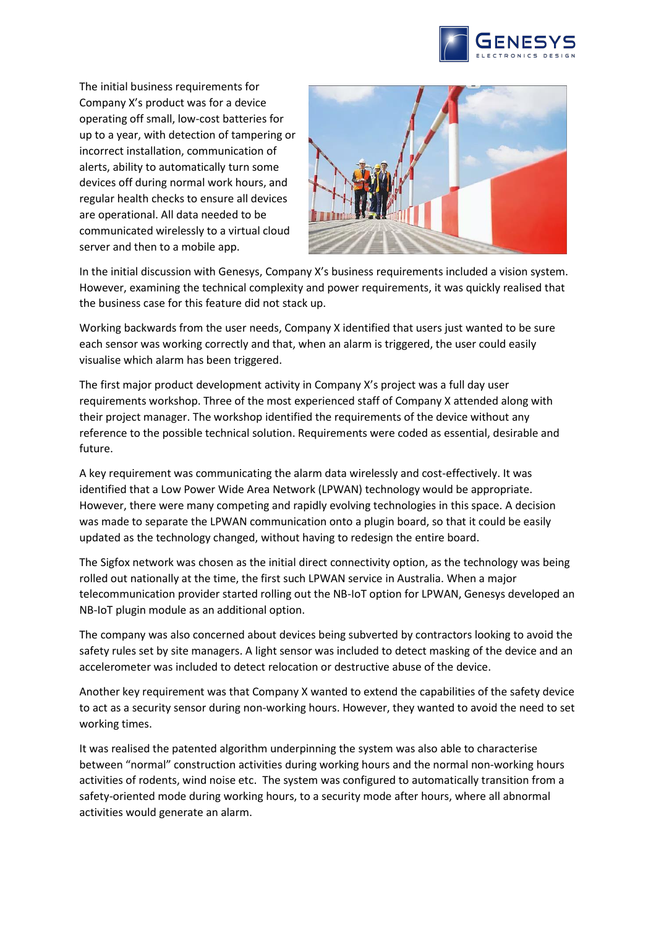

The initial business requirements for Company X's product was for a device operating off small, low-cost batteries for up to a year, with detection of tampering or incorrect installation, communication of alerts, ability to automatically turn some devices off during normal work hours, and regular health checks to ensure all devices are operational. All data needed to be communicated wirelessly to a virtual cloud server and then to a mobile app.



In the initial discussion with Genesys, Company X's business requirements included a vision system. However, examining the technical complexity and power requirements, it was quickly realised that the business case for this feature did not stack up.

Working backwards from the user needs, Company X identified that users just wanted to be sure each sensor was working correctly and that, when an alarm is triggered, the user could easily visualise which alarm has been triggered.

The first major product development activity in Company X's project was a full day user requirements workshop. Three of the most experienced staff of Company X attended along with their project manager. The workshop identified the requirements of the device without any reference to the possible technical solution. Requirements were coded as essential, desirable and future.

A key requirement was communicating the alarm data wirelessly and cost-effectively. It was identified that a Low Power Wide Area Network (LPWAN) technology would be appropriate. However, there were many competing and rapidly evolving technologies in this space. A decision was made to separate the LPWAN communication onto a plugin board, so that it could be easily updated as the technology changed, without having to redesign the entire board.

The Sigfox network was chosen as the initial direct connectivity option, as the technology was being rolled out nationally at the time, the first such LPWAN service in Australia. When a major telecommunication provider started rolling out the NB-IoT option for LPWAN, Genesys developed an NB-IoT plugin module as an additional option.

The company was also concerned about devices being subverted by contractors looking to avoid the safety rules set by site managers. A light sensor was included to detect masking of the device and an accelerometer was included to detect relocation or destructive abuse of the device.

Another key requirement was that Company X wanted to extend the capabilities of the safety device to act as a security sensor during non-working hours. However, they wanted to avoid the need to set working times.

It was realised the patented algorithm underpinning the system was also able to characterise between "normal" construction activities during working hours and the normal non-working hours activities of rodents, wind noise etc. The system was configured to automatically transition from a safety-oriented mode during working hours, to a security mode after hours, where all abnormal activities would generate an alarm.